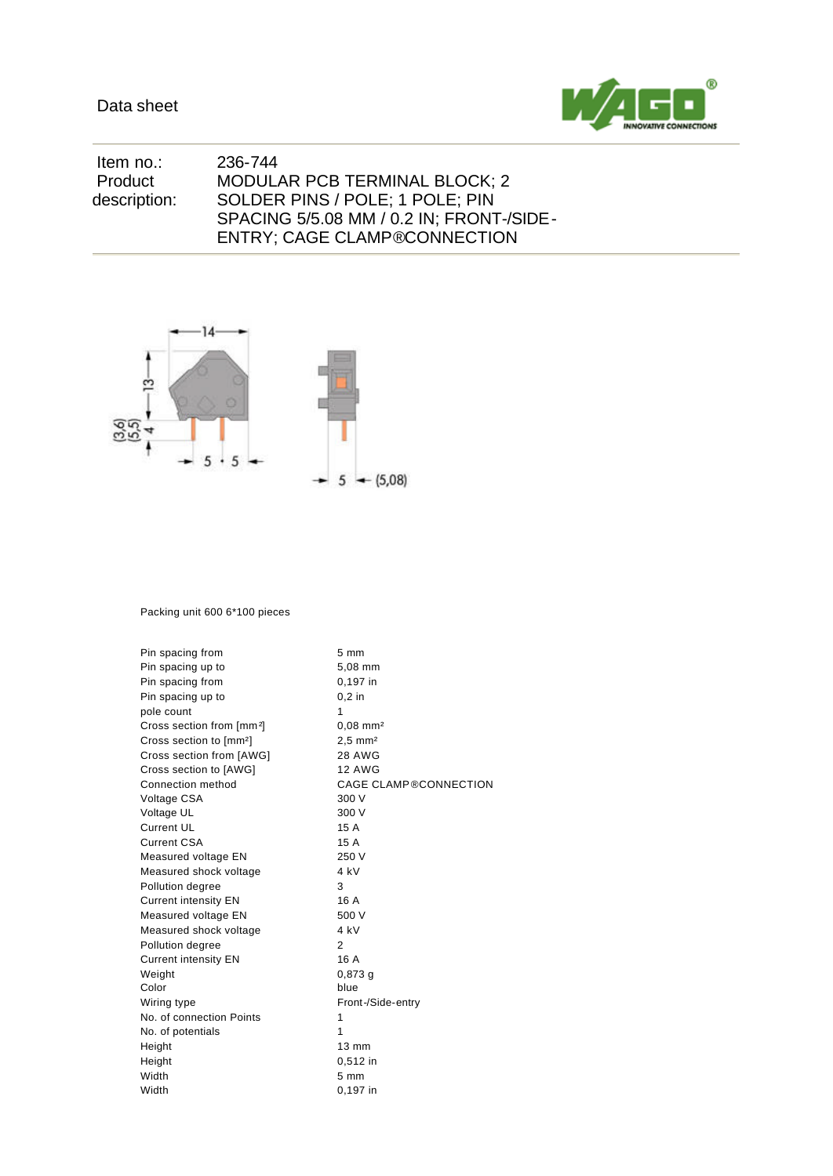

| ltem no.:    | 236-744                                  |
|--------------|------------------------------------------|
| Product      | MODULAR PCB TERMINAL BLOCK; 2            |
| description: | SOLDER PINS / POLE: 1 POLE: PIN          |
|              | SPACING 5/5.08 MM / 0.2 IN; FRONT-/SIDE- |
|              | <b>ENTRY: CAGE CLAMP®CONNECTION</b>      |



## Packing unit 600 6\*100 pieces

| Pin spacing from                      | 5 mm                         |
|---------------------------------------|------------------------------|
| Pin spacing up to                     | 5,08 mm                      |
| Pin spacing from                      | 0,197 in                     |
| Pin spacing up to                     | $0.2$ in                     |
| pole count                            | 1                            |
| Cross section from [mm <sup>2</sup> ] | $0.08$ mm <sup>2</sup>       |
| Cross section to [mm <sup>2</sup> ]   | $2.5$ mm <sup>2</sup>        |
| Cross section from [AWG]              | <b>28 AWG</b>                |
| Cross section to [AWG]                | <b>12 AWG</b>                |
| Connection method                     | <b>CAGE CLAMP®CONNECTION</b> |
| Voltage CSA                           | 300 V                        |
| Voltage UL                            | 300 V                        |
| <b>Current UL</b>                     | 15 A                         |
| <b>Current CSA</b>                    | 15 A                         |
| Measured voltage EN                   | 250 V                        |
| Measured shock voltage                | 4 kV                         |
| Pollution degree                      | 3                            |
| <b>Current intensity EN</b>           | 16 A                         |
| Measured voltage EN                   | 500 V                        |
| Measured shock voltage                | 4 kV                         |
| Pollution degree                      | $\overline{2}$               |
| <b>Current intensity EN</b>           | 16 A                         |
| Weight                                | $0,873$ a                    |
| Color                                 | blue                         |
| Wiring type                           | Front-/Side-entry            |
| No. of connection Points              | 1                            |
| No. of potentials                     | 1                            |
| Height                                | $13 \text{ mm}$              |
| Height                                | 0,512 in                     |
| Width                                 | $5 \, \text{mm}$             |
| Width                                 | 0,197 in                     |